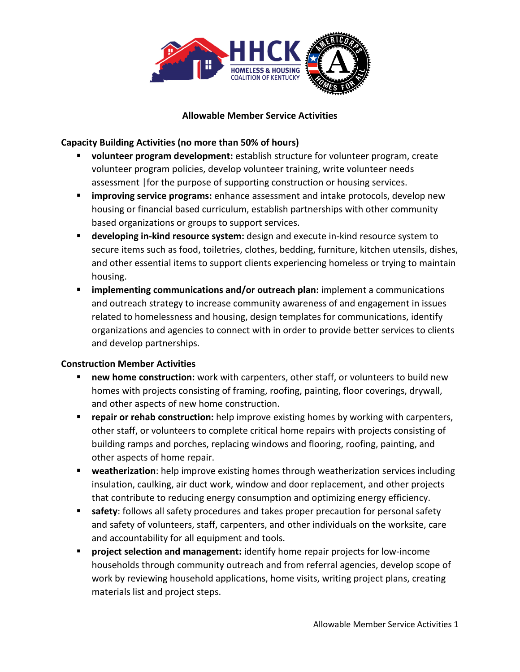

#### **Allowable Member Service Activities**

### **Capacity Building Activities (no more than 50% of hours)**

- **volunteer program development:** establish structure for volunteer program, create volunteer program policies, develop volunteer training, write volunteer needs assessment |for the purpose of supporting construction or housing services.
- **improving service programs:** enhance assessment and intake protocols, develop new housing or financial based curriculum, establish partnerships with other community based organizations or groups to support services.
- **developing in-kind resource system:** design and execute in-kind resource system to secure items such as food, toiletries, clothes, bedding, furniture, kitchen utensils, dishes, and other essential items to support clients experiencing homeless or trying to maintain housing.
- **EXT** implementing communications and/or outreach plan: implement a communications and outreach strategy to increase community awareness of and engagement in issues related to homelessness and housing, design templates for communications, identify organizations and agencies to connect with in order to provide better services to clients and develop partnerships.

### **Construction Member Activities**

- **new home construction:** work with carpenters, other staff, or volunteers to build new homes with projects consisting of framing, roofing, painting, floor coverings, drywall, and other aspects of new home construction.
- **repair or rehab construction:** help improve existing homes by working with carpenters, other staff, or volunteers to complete critical home repairs with projects consisting of building ramps and porches, replacing windows and flooring, roofing, painting, and other aspects of home repair.
- **weatherization**: help improve existing homes through weatherization services including insulation, caulking, air duct work, window and door replacement, and other projects that contribute to reducing energy consumption and optimizing energy efficiency.
- **safety**: follows all safety procedures and takes proper precaution for personal safety and safety of volunteers, staff, carpenters, and other individuals on the worksite, care and accountability for all equipment and tools.
- **Peropect selection and management:** identify home repair projects for low-income households through community outreach and from referral agencies, develop scope of work by reviewing household applications, home visits, writing project plans, creating materials list and project steps.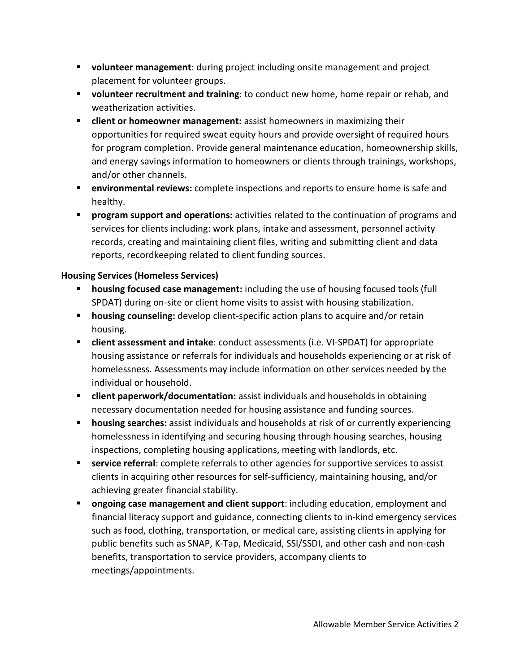- **volunteer management**: during project including onsite management and project placement for volunteer groups.
- **volunteer recruitment and training**: to conduct new home, home repair or rehab, and weatherization activities.
- **client or homeowner management:** assist homeowners in maximizing their opportunities for required sweat equity hours and provide oversight of required hours for program completion. Provide general maintenance education, homeownership skills, and energy savings information to homeowners or clients through trainings, workshops, and/or other channels.
- **environmental reviews:** complete inspections and reports to ensure home is safe and healthy.
- **program support and operations:** activities related to the continuation of programs and services for clients including: work plans, intake and assessment, personnel activity records, creating and maintaining client files, writing and submitting client and data reports, recordkeeping related to client funding sources.

# **Housing Services (Homeless Services)**

- **housing focused case management:** including the use of housing focused tools (full SPDAT) during on-site or client home visits to assist with housing stabilization.
- **housing counseling:** develop client-specific action plans to acquire and/or retain housing.
- **client assessment and intake**: conduct assessments (i.e. VI-SPDAT) for appropriate housing assistance or referrals for individuals and households experiencing or at risk of homelessness. Assessments may include information on other services needed by the individual or household.
- **E** client paperwork/documentation: assist individuals and households in obtaining necessary documentation needed for housing assistance and funding sources.
- **housing searches:** assist individuals and households at risk of or currently experiencing homelessness in identifying and securing housing through housing searches, housing inspections, completing housing applications, meeting with landlords, etc.
- **service referral**: complete referrals to other agencies for supportive services to assist clients in acquiring other resources for self-sufficiency, maintaining housing, and/or achieving greater financial stability.
- **ongoing case management and client support**: including education, employment and financial literacy support and guidance, connecting clients to in-kind emergency services such as food, clothing, transportation, or medical care, assisting clients in applying for public benefits such as SNAP, K-Tap, Medicaid, SSI/SSDI, and other cash and non-cash benefits, transportation to service providers, accompany clients to meetings/appointments.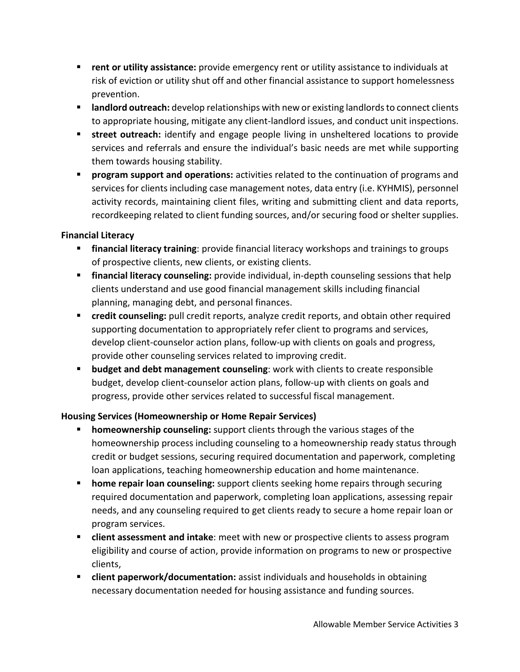- **F** rent or utility assistance: provide emergency rent or utility assistance to individuals at risk of eviction or utility shut off and other financial assistance to support homelessness prevention.
- **If and lord outreach:** develop relationships with new or existing landlords to connect clients to appropriate housing, mitigate any client-landlord issues, and conduct unit inspections.
- **street outreach:** identify and engage people living in unsheltered locations to provide services and referrals and ensure the individual's basic needs are met while supporting them towards housing stability.
- **Program support and operations:** activities related to the continuation of programs and services for clients including case management notes, data entry (i.e. KYHMIS), personnel activity records, maintaining client files, writing and submitting client and data reports, recordkeeping related to client funding sources, and/or securing food or shelter supplies.

# **Financial Literacy**

- **financial literacy training**: provide financial literacy workshops and trainings to groups of prospective clients, new clients, or existing clients.
- **financial literacy counseling:** provide individual, in-depth counseling sessions that help clients understand and use good financial management skills including financial planning, managing debt, and personal finances.
- **F** credit counseling: pull credit reports, analyze credit reports, and obtain other required supporting documentation to appropriately refer client to programs and services, develop client-counselor action plans, follow-up with clients on goals and progress, provide other counseling services related to improving credit.
- **budget and debt management counseling:** work with clients to create responsible budget, develop client-counselor action plans, follow-up with clients on goals and progress, provide other services related to successful fiscal management.

# **Housing Services (Homeownership or Home Repair Services)**

- **homeownership counseling:** support clients through the various stages of the homeownership process including counseling to a homeownership ready status through credit or budget sessions, securing required documentation and paperwork, completing loan applications, teaching homeownership education and home maintenance.
- **home repair loan counseling:** support clients seeking home repairs through securing required documentation and paperwork, completing loan applications, assessing repair needs, and any counseling required to get clients ready to secure a home repair loan or program services.
- **client assessment and intake**: meet with new or prospective clients to assess program eligibility and course of action, provide information on programs to new or prospective clients,
- **Client paperwork/documentation:** assist individuals and households in obtaining necessary documentation needed for housing assistance and funding sources.